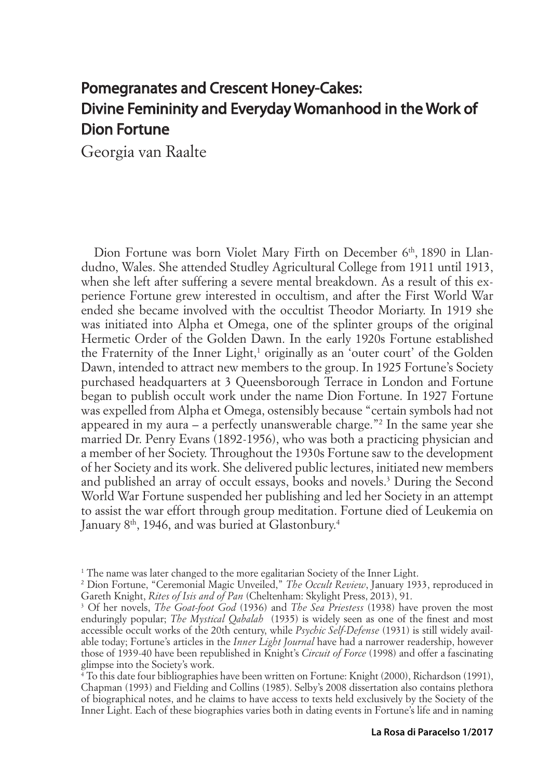# Pomegranates and Crescent Honey-Cakes: Divine Femininity and Everyday Womanhood in the Work of Dion Fortune

Georgia van Raalte

Dion Fortune was born Violet Mary Firth on December 6<sup>th</sup>, 1890 in Llandudno, Wales. She attended Studley Agricultural College from 1911 until 1913, when she left after suffering a severe mental breakdown. As a result of this experience Fortune grew interested in occultism, and after the First World War ended she became involved with the occultist Theodor Moriarty. In 1919 she was initiated into Alpha et Omega, one of the splinter groups of the original Hermetic Order of the Golden Dawn. In the early 1920s Fortune established the Fraternity of the Inner Light,<sup>1</sup> originally as an 'outer court' of the Golden Dawn, intended to attract new members to the group. In 1925 Fortune's Society purchased headquarters at 3 Queensborough Terrace in London and Fortune began to publish occult work under the name Dion Fortune. In 1927 Fortune was expelled from Alpha et Omega, ostensibly because "certain symbols had not appeared in my aura – a perfectly unanswerable charge."2 In the same year she married Dr. Penry Evans (1892-1956), who was both a practicing physician and a member of her Society. Throughout the 1930s Fortune saw to the development of her Society and its work. She delivered public lectures, initiated new members and published an array of occult essays, books and novels.3 During the Second World War Fortune suspended her publishing and led her Society in an attempt to assist the war effort through group meditation. Fortune died of Leukemia on January 8<sup>th</sup>, 1946, and was buried at Glastonbury.<sup>4</sup>

<sup>&</sup>lt;sup>1</sup> The name was later changed to the more egalitarian Society of the Inner Light.

<sup>2</sup> Dion Fortune, "Ceremonial Magic Unveiled," *The Occult Review*, January 1933, reproduced in Gareth Knight, *Rites of Isis and of Pan* (Cheltenham: Skylight Press, 2013), 91.

<sup>3</sup> Of her novels, *The Goat-foot God* (1936) and *The Sea Priestess* (1938) have proven the most enduringly popular; *The Mystical Qabalah* (1935) is widely seen as one of the finest and most accessible occult works of the 20th century, while *Psychic Self-Defense* (1931) is still widely available today; Fortune's articles in the *Inner Light Journal* have had a narrower readership, however those of 1939-40 have been republished in Knight's *Circuit of Force* (1998) and offer a fascinating glimpse into the Society's work.

<sup>4</sup> To this date four bibliographies have been written on Fortune: Knight (2000), Richardson (1991), Chapman (1993) and Fielding and Collins (1985). Selby's 2008 dissertation also contains plethora of biographical notes, and he claims to have access to texts held exclusively by the Society of the Inner Light. Each of these biographies varies both in dating events in Fortune's life and in naming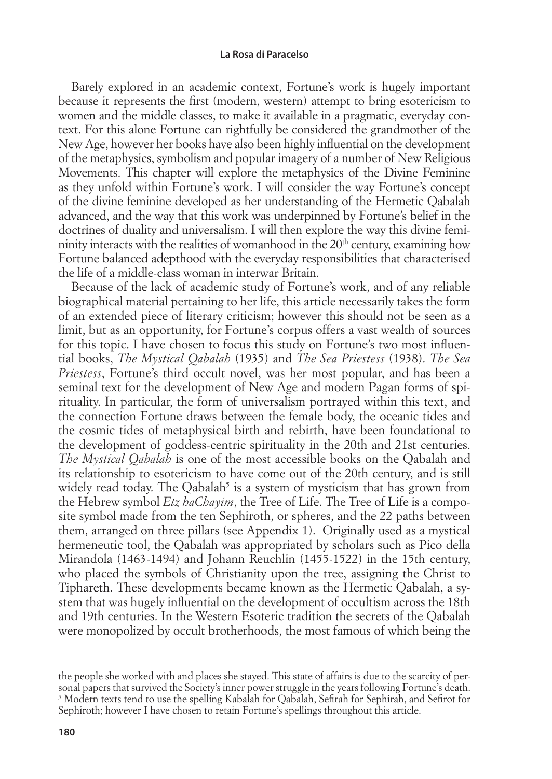Barely explored in an academic context, Fortune's work is hugely important because it represents the first (modern, western) attempt to bring esotericism to women and the middle classes, to make it available in a pragmatic, everyday context. For this alone Fortune can rightfully be considered the grandmother of the New Age, however her books have also been highly influential on the development of the metaphysics, symbolism and popular imagery of a number of New Religious Movements. This chapter will explore the metaphysics of the Divine Feminine as they unfold within Fortune's work. I will consider the way Fortune's concept of the divine feminine developed as her understanding of the Hermetic Qabalah advanced, and the way that this work was underpinned by Fortune's belief in the doctrines of duality and universalism. I will then explore the way this divine femininity interacts with the realities of womanhood in the 20<sup>th</sup> century, examining how Fortune balanced adepthood with the everyday responsibilities that characterised the life of a middle-class woman in interwar Britain.

Because of the lack of academic study of Fortune's work, and of any reliable biographical material pertaining to her life, this article necessarily takes the form of an extended piece of literary criticism; however this should not be seen as a limit, but as an opportunity, for Fortune's corpus offers a vast wealth of sources for this topic. I have chosen to focus this study on Fortune's two most influential books, *The Mystical Qabalah* (1935) and *The Sea Priestess* (1938). *The Sea Priestess*, Fortune's third occult novel, was her most popular, and has been a seminal text for the development of New Age and modern Pagan forms of spirituality. In particular, the form of universalism portrayed within this text, and the connection Fortune draws between the female body, the oceanic tides and the cosmic tides of metaphysical birth and rebirth, have been foundational to the development of goddess-centric spirituality in the 20th and 21st centuries. *The Mystical Qabalah* is one of the most accessible books on the Qabalah and its relationship to esotericism to have come out of the 20th century, and is still widely read today. The Qabalah<sup>5</sup> is a system of mysticism that has grown from the Hebrew symbol *Etz haChayim*, the Tree of Life. The Tree of Life is a composite symbol made from the ten Sephiroth, or spheres, and the 22 paths between them, arranged on three pillars (see Appendix 1). Originally used as a mystical hermeneutic tool, the Qabalah was appropriated by scholars such as Pico della Mirandola (1463-1494) and Johann Reuchlin (1455-1522) in the 15th century, who placed the symbols of Christianity upon the tree, assigning the Christ to Tiphareth. These developments became known as the Hermetic Qabalah, a system that was hugely influential on the development of occultism across the 18th and 19th centuries. In the Western Esoteric tradition the secrets of the Qabalah were monopolized by occult brotherhoods, the most famous of which being the

the people she worked with and places she stayed. This state of affairs is due to the scarcity of personal papers that survived the Society's inner power struggle in the years following Fortune's death.  $^5$  Modern texts tend to use the spelling Kabalah for Qabalah, Sefirah for Sephirah, and Sefirot for Sephiroth; however I have chosen to retain Fortune's spellings throughout this article.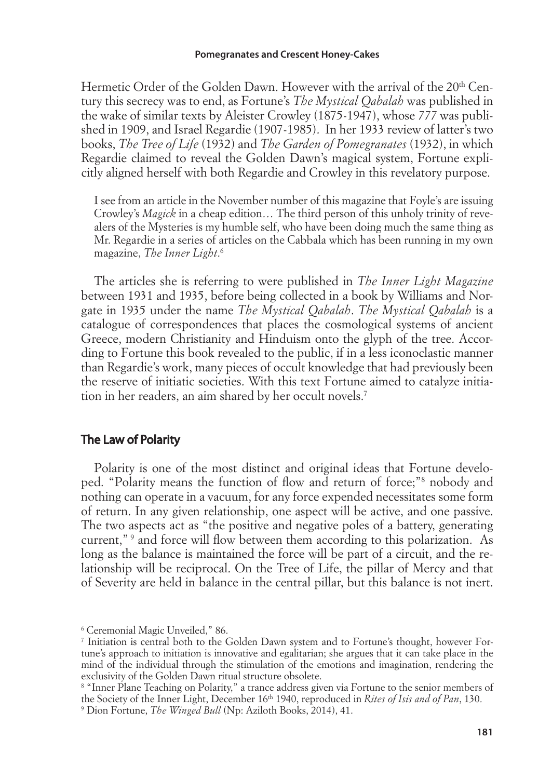Hermetic Order of the Golden Dawn. However with the arrival of the  $20<sup>th</sup>$  Century this secrecy was to end, as Fortune's *The Mystical Qabalah* was published in the wake of similar texts by Aleister Crowley (1875-1947), whose *777* was published in 1909, and Israel Regardie (1907-1985). In her 1933 review of latter's two books, *The Tree of Life* (1932) and *The Garden of Pomegranates* (1932), in which Regardie claimed to reveal the Golden Dawn's magical system, Fortune explicitly aligned herself with both Regardie and Crowley in this revelatory purpose.

I see from an article in the November number of this magazine that Foyle's are issuing Crowley's *Magick* in a cheap edition… The third person of this unholy trinity of revealers of the Mysteries is my humble self, who have been doing much the same thing as Mr. Regardie in a series of articles on the Cabbala which has been running in my own magazine, *The Inner Light*. 6

The articles she is referring to were published in *The Inner Light Magazine*  between 1931 and 1935, before being collected in a book by Williams and Norgate in 1935 under the name *The Mystical Qabalah*. *The Mystical Qabalah* is a catalogue of correspondences that places the cosmological systems of ancient Greece, modern Christianity and Hinduism onto the glyph of the tree. According to Fortune this book revealed to the public, if in a less iconoclastic manner than Regardie's work, many pieces of occult knowledge that had previously been the reserve of initiatic societies. With this text Fortune aimed to catalyze initiation in her readers, an aim shared by her occult novels.7

## The Law of Polarity

Polarity is one of the most distinct and original ideas that Fortune developed. "Polarity means the function of flow and return of force;"<sup>8</sup> nobody and nothing can operate in a vacuum, for any force expended necessitates some form of return. In any given relationship, one aspect will be active, and one passive. The two aspects act as "the positive and negative poles of a battery, generating current,"<sup>9</sup> and force will flow between them according to this polarization. As long as the balance is maintained the force will be part of a circuit, and the relationship will be reciprocal. On the Tree of Life, the pillar of Mercy and that of Severity are held in balance in the central pillar, but this balance is not inert.

<sup>6</sup> Ceremonial Magic Unveiled," 86.

<sup>7</sup> Initiation is central both to the Golden Dawn system and to Fortune's thought, however Fortune's approach to initiation is innovative and egalitarian; she argues that it can take place in the mind of the individual through the stimulation of the emotions and imagination, rendering the exclusivity of the Golden Dawn ritual structure obsolete.

<sup>8</sup> "Inner Plane Teaching on Polarity," a trance address given via Fortune to the senior members of the Society of the Inner Light, December 16th 1940, reproduced in *Rites of Isis and of Pan*, 130. 9 Dion Fortune, *The Winged Bull* (Np: Aziloth Books, 2014), 41.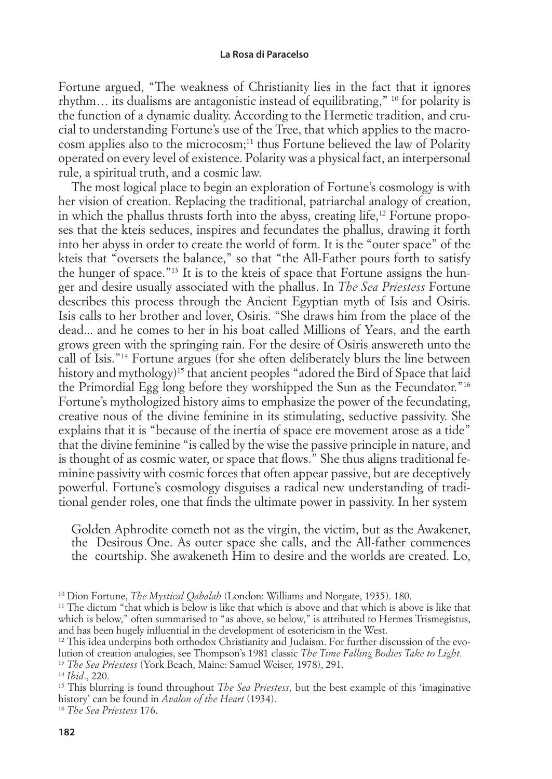Fortune argued, "The weakness of Christianity lies in the fact that it ignores rhythm… its dualisms are antagonistic instead of equilibrating," 10 for polarity is the function of a dynamic duality. According to the Hermetic tradition, and crucial to understanding Fortune's use of the Tree, that which applies to the macrocosm applies also to the microcosm;11 thus Fortune believed the law of Polarity operated on every level of existence. Polarity was a physical fact, an interpersonal rule, a spiritual truth, and a cosmic law.

The most logical place to begin an exploration of Fortune's cosmology is with her vision of creation. Replacing the traditional, patriarchal analogy of creation, in which the phallus thrusts forth into the abyss, creating life,<sup>12</sup> Fortune proposes that the kteis seduces, inspires and fecundates the phallus, drawing it forth into her abyss in order to create the world of form. It is the "outer space" of the kteis that "oversets the balance," so that "the All-Father pours forth to satisfy the hunger of space."13 It is to the kteis of space that Fortune assigns the hunger and desire usually associated with the phallus. In *The Sea Priestess* Fortune describes this process through the Ancient Egyptian myth of Isis and Osiris. Isis calls to her brother and lover, Osiris. "She draws him from the place of the dead... and he comes to her in his boat called Millions of Years, and the earth grows green with the springing rain. For the desire of Osiris answereth unto the call of Isis."14 Fortune argues (for she often deliberately blurs the line between history and mythology)<sup>15</sup> that ancient peoples "adored the Bird of Space that laid the Primordial Egg long before they worshipped the Sun as the Fecundator."16 Fortune's mythologized history aims to emphasize the power of the fecundating, creative nous of the divine feminine in its stimulating, seductive passivity. She explains that it is "because of the inertia of space ere movement arose as a tide" that the divine feminine "is called by the wise the passive principle in nature, and is thought of as cosmic water, or space that flows." She thus aligns traditional feminine passivity with cosmic forces that often appear passive, but are deceptively powerful. Fortune's cosmology disguises a radical new understanding of traditional gender roles, one that finds the ultimate power in passivity. In her system

Golden Aphrodite cometh not as the virgin, the victim, but as the Awakener, the Desirous One. As outer space she calls, and the All-father commences the courtship. She awakeneth Him to desire and the worlds are created. Lo,

<sup>10</sup> Dion Fortune, *The Mystical Qabalah* (London: Williams and Norgate, 1935). 180.

 $11$  The dictum "that which is below is like that which is above and that which is above is like that which is below," often summarised to "as above, so below," is attributed to Hermes Trismegistus, and has been hugely influential in the development of esotericism in the West.

 $12$  This idea underpins both orthodox Christianity and Judaism. For further discussion of the evolution of creation analogies, see Thompson's 1981 classic *The Time Falling Bodies Take to Light.*

<sup>13</sup> *The Sea Priestess* (York Beach, Maine: Samuel Weiser, 1978), 291.

<sup>14</sup> *Ibid*., 220.

<sup>&</sup>lt;sup>15</sup> This blurring is found throughout *The Sea Priestess*, but the best example of this 'imaginative history' can be found in *Avalon of the Heart* (1934).

<sup>16</sup> *The Sea Priestess* 176.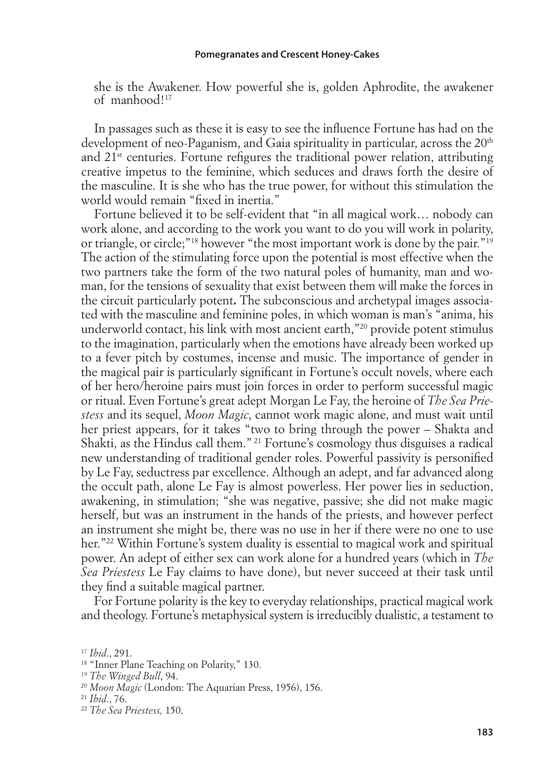she is the Awakener. How powerful she is, golden Aphrodite, the awakener of manhood!17

In passages such as these it is easy to see the influence Fortune has had on the development of neo-Paganism, and Gaia spirituality in particular, across the 20<sup>th</sup> and  $21<sup>st</sup>$  centuries. Fortune refigures the traditional power relation, attributing creative impetus to the feminine, which seduces and draws forth the desire of the masculine. It is she who has the true power, for without this stimulation the world would remain "fixed in inertia."

Fortune believed it to be self-evident that "in all magical work… nobody can work alone, and according to the work you want to do you will work in polarity, or triangle, or circle;"18 however "the most important work is done by the pair."19 The action of the stimulating force upon the potential is most effective when the two partners take the form of the two natural poles of humanity, man and woman, for the tensions of sexuality that exist between them will make the forces in the circuit particularly potent**.** The subconscious and archetypal images associated with the masculine and feminine poles, in which woman is man's "anima, his underworld contact, his link with most ancient earth,"20 provide potent stimulus to the imagination, particularly when the emotions have already been worked up to a fever pitch by costumes, incense and music. The importance of gender in the magical pair is particularly significant in Fortune's occult novels, where each of her hero/heroine pairs must join forces in order to perform successful magic or ritual. Even Fortune's great adept Morgan Le Fay, the heroine of *The Sea Priestess* and its sequel, *Moon Magic*, cannot work magic alone, and must wait until her priest appears, for it takes "two to bring through the power – Shakta and Shakti, as the Hindus call them." 21 Fortune's cosmology thus disguises a radical new understanding of traditional gender roles. Powerful passivity is personified by Le Fay, seductress par excellence. Although an adept, and far advanced along the occult path, alone Le Fay is almost powerless. Her power lies in seduction, awakening, in stimulation; "she was negative, passive; she did not make magic herself, but was an instrument in the hands of the priests, and however perfect an instrument she might be, there was no use in her if there were no one to use her."<sup>22</sup> Within Fortune's system duality is essential to magical work and spiritual power. An adept of either sex can work alone for a hundred years (which in *The Sea Priestess* Le Fay claims to have done), but never succeed at their task until they find a suitable magical partner.

For Fortune polarity is the key to everyday relationships, practical magical work and theology. Fortune's metaphysical system is irreducibly dualistic, a testament to

<sup>17</sup> *Ibid*., 291.

<sup>&</sup>lt;sup>18</sup> "Inner Plane Teaching on Polarity," 130.

<sup>19</sup> *The Winged Bull*, 94.

<sup>20</sup> *Moon Magic* (London: The Aquarian Press, 1956), 156.

<sup>21</sup> *Ibid*., 76.

<sup>22</sup> *The Sea Priestess,* 150.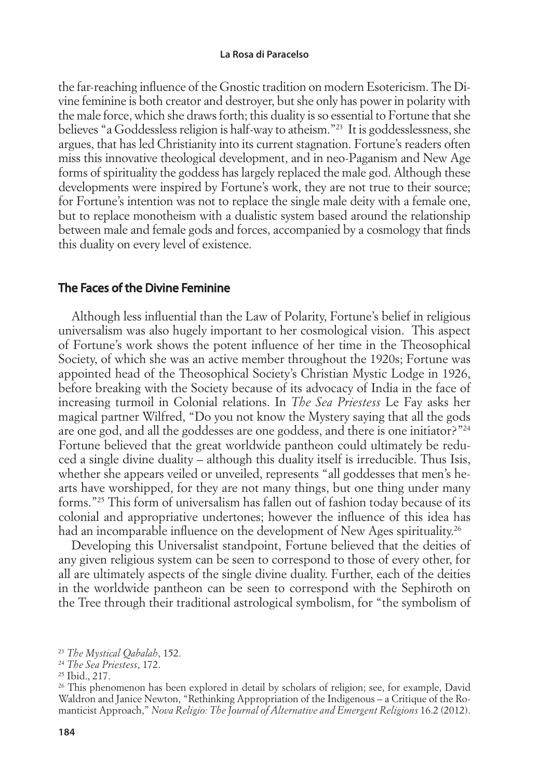the far-reaching influence of the Gnostic tradition on modern Esotericism. The Divine feminine is both creator and destroyer, but she only has power in polarity with the male force, which she draws forth; this duality is so essential to Fortune that she believes "a Goddessless religion is half-way to atheism."23 It is goddesslessness, she argues, that has led Christianity into its current stagnation. Fortune's readers often miss this innovative theological development, and in neo-Paganism and New Age forms of spirituality the goddess has largely replaced the male god. Although these developments were inspired by Fortune's work, they are not true to their source; for Fortune's intention was not to replace the single male deity with a female one, but to replace monotheism with a dualistic system based around the relationship between male and female gods and forces, accompanied by a cosmology that finds this duality on every level of existence.

## The Faces of the Divine Feminine

Although less influential than the Law of Polarity, Fortune's belief in religious universalism was also hugely important to her cosmological vision. This aspect of Fortune's work shows the potent influence of her time in the Theosophical Society, of which she was an active member throughout the 1920s; Fortune was appointed head of the Theosophical Society's Christian Mystic Lodge in 1926, before breaking with the Society because of its advocacy of India in the face of increasing turmoil in Colonial relations. In *The Sea Priestess* Le Fay asks her magical partner Wilfred, "Do you not know the Mystery saying that all the gods are one god, and all the goddesses are one goddess, and there is one initiator?"<sup>24</sup> Fortune believed that the great worldwide pantheon could ultimately be reduced a single divine duality – although this duality itself is irreducible. Thus Isis, whether she appears veiled or unveiled, represents "all goddesses that men's hearts have worshipped, for they are not many things, but one thing under many forms."25 This form of universalism has fallen out of fashion today because of its colonial and appropriative undertones; however the influence of this idea has had an incomparable influence on the development of New Ages spirituality.<sup>26</sup>

Developing this Universalist standpoint, Fortune believed that the deities of any given religious system can be seen to correspond to those of every other, for all are ultimately aspects of the single divine duality. Further, each of the deities in the worldwide pantheon can be seen to correspond with the Sephiroth on the Tree through their traditional astrological symbolism, for "the symbolism of

<sup>23</sup> *The Mystical Qabalah*, 152.

<sup>24</sup> *The Sea Priestess*, 172.

<sup>25</sup> Ibid., 217.

<sup>&</sup>lt;sup>26</sup> This phenomenon has been explored in detail by scholars of religion; see, for example, David Waldron and Janice Newton, "Rethinking Appropriation of the Indigenous – a Critique of the Romanticist Approach," *Nova Religio: The Journal of Alternative and Emergent Religions* 16.2 (2012).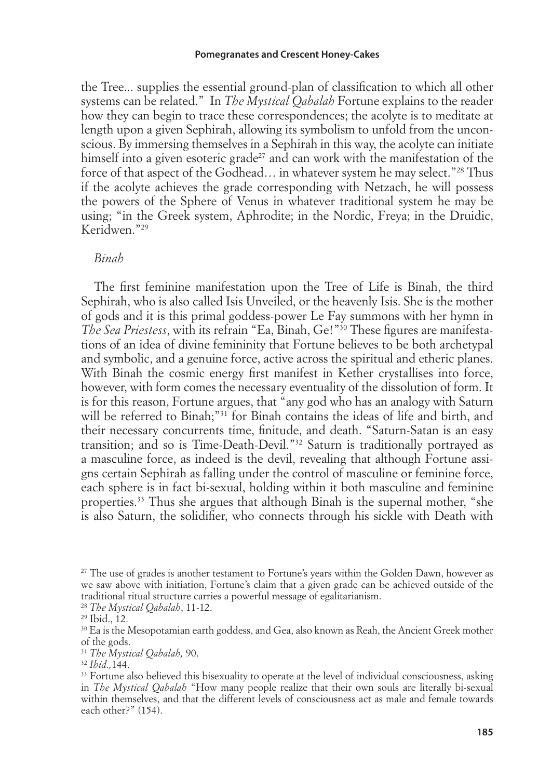#### **Pomegranates and Crescent Honey-Cakes**

the Tree... supplies the essential ground-plan of classification to which all other systems can be related." In *The Mystical Qabalah* Fortune explains to the reader how they can begin to trace these correspondences; the acolyte is to meditate at length upon a given Sephirah, allowing its symbolism to unfold from the unconscious. By immersing themselves in a Sephirah in this way, the acolyte can initiate himself into a given esoteric grade<sup>27</sup> and can work with the manifestation of the force of that aspect of the Godhead... in whatever system he may select."<sup>28</sup> Thus if the acolyte achieves the grade corresponding with Netzach, he will possess the powers of the Sphere of Venus in whatever traditional system he may be using; "in the Greek system, Aphrodite; in the Nordic, Freya; in the Druidic, Keridwen."29

#### *Binah*

The first feminine manifestation upon the Tree of Life is Binah, the third Sephirah, who is also called Isis Unveiled, or the heavenly Isis. She is the mother of gods and it is this primal goddess-power Le Fay summons with her hymn in *The Sea Priestess*, with its refrain "Ea, Binah, Ge!"<sup>30</sup> These figures are manifestations of an idea of divine femininity that Fortune believes to be both archetypal and symbolic, and a genuine force, active across the spiritual and etheric planes. With Binah the cosmic energy first manifest in Kether crystallises into force, however, with form comes the necessary eventuality of the dissolution of form. It is for this reason, Fortune argues, that "any god who has an analogy with Saturn will be referred to Binah;"<sup>31</sup> for Binah contains the ideas of life and birth, and their necessary concurrents time, finitude, and death. "Saturn-Satan is an easy transition; and so is Time-Death-Devil."32 Saturn is traditionally portrayed as a masculine force, as indeed is the devil, revealing that although Fortune assigns certain Sephirah as falling under the control of masculine or feminine force, each sphere is in fact bi-sexual, holding within it both masculine and feminine properties.33 Thus she argues that although Binah is the supernal mother, "she is also Saturn, the solidifier, who connects through his sickle with Death with

<sup>&</sup>lt;sup>27</sup> The use of grades is another testament to Fortune's years within the Golden Dawn, however as we saw above with initiation, Fortune's claim that a given grade can be achieved outside of the traditional ritual structure carries a powerful message of egalitarianism.

<sup>28</sup> *The Mystical Qabalah*, 11-12.

<sup>29</sup> Ibid., 12.

<sup>&</sup>lt;sup>30</sup> Ea is the Mesopotamian earth goddess, and Gea, also known as Reah, the Ancient Greek mother of the gods.

<sup>31</sup> *The Mystical Qabalah,* 90.

<sup>32</sup> *Ibid.,*144.

<sup>&</sup>lt;sup>33</sup> Fortune also believed this bisexuality to operate at the level of individual consciousness, asking in *The Mystical Qabalah* "How many people realize that their own souls are literally bi-sexual within themselves, and that the different levels of consciousness act as male and female towards each other?" (154).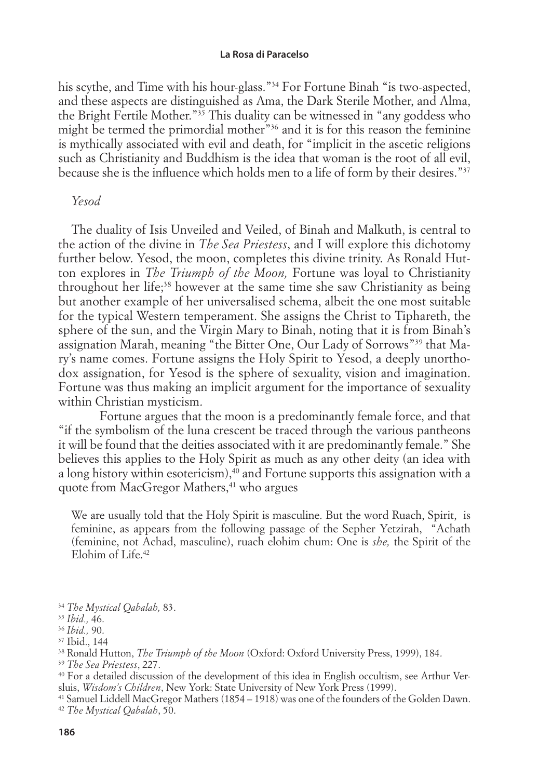his scythe, and Time with his hour-glass."34 For Fortune Binah "is two-aspected, and these aspects are distinguished as Ama, the Dark Sterile Mother, and Alma, the Bright Fertile Mother."35 This duality can be witnessed in "any goddess who might be termed the primordial mother"36 and it is for this reason the feminine is mythically associated with evil and death, for "implicit in the ascetic religions such as Christianity and Buddhism is the idea that woman is the root of all evil, because she is the influence which holds men to a life of form by their desires."<sup>37</sup>

## *Yesod*

The duality of Isis Unveiled and Veiled, of Binah and Malkuth, is central to the action of the divine in *The Sea Priestess*, and I will explore this dichotomy further below. Yesod, the moon, completes this divine trinity. As Ronald Hutton explores in *The Triumph of the Moon,* Fortune was loyal to Christianity throughout her life;<sup>38</sup> however at the same time she saw Christianity as being but another example of her universalised schema, albeit the one most suitable for the typical Western temperament. She assigns the Christ to Tiphareth, the sphere of the sun, and the Virgin Mary to Binah, noting that it is from Binah's assignation Marah, meaning "the Bitter One, Our Lady of Sorrows"39 that Mary's name comes. Fortune assigns the Holy Spirit to Yesod, a deeply unorthodox assignation, for Yesod is the sphere of sexuality, vision and imagination. Fortune was thus making an implicit argument for the importance of sexuality within Christian mysticism.

 Fortune argues that the moon is a predominantly female force, and that "if the symbolism of the luna crescent be traced through the various pantheons it will be found that the deities associated with it are predominantly female." She believes this applies to the Holy Spirit as much as any other deity (an idea with a long history within esotericism), $40$  and Fortune supports this assignation with a quote from MacGregor Mathers,<sup>41</sup> who argues

We are usually told that the Holy Spirit is masculine. But the word Ruach, Spirit, is feminine, as appears from the following passage of the Sepher Yetzirah, "Achath (feminine, not Achad, masculine), ruach elohim chum: One is *she,* the Spirit of the Elohim of Life.42

<sup>34</sup> *The Mystical Qabalah,* 83.

<sup>35</sup> *Ibid.,* 46.

<sup>36</sup> *Ibid.,* 90.

<sup>37</sup> Ibid., 144

<sup>38</sup> Ronald Hutton, *The Triumph of the Moon* (Oxford: Oxford University Press, 1999), 184.

<sup>39</sup> *The Sea Priestess*, 227.

<sup>40</sup> For a detailed discussion of the development of this idea in English occultism, see Arthur Versluis, *Wisdom's Children*, New York: State University of New York Press (1999).

<sup>41</sup> Samuel Liddell MacGregor Mathers (1854 – 1918) was one of the founders of the Golden Dawn. <sup>42</sup> *The Mystical Qabalah*, 50.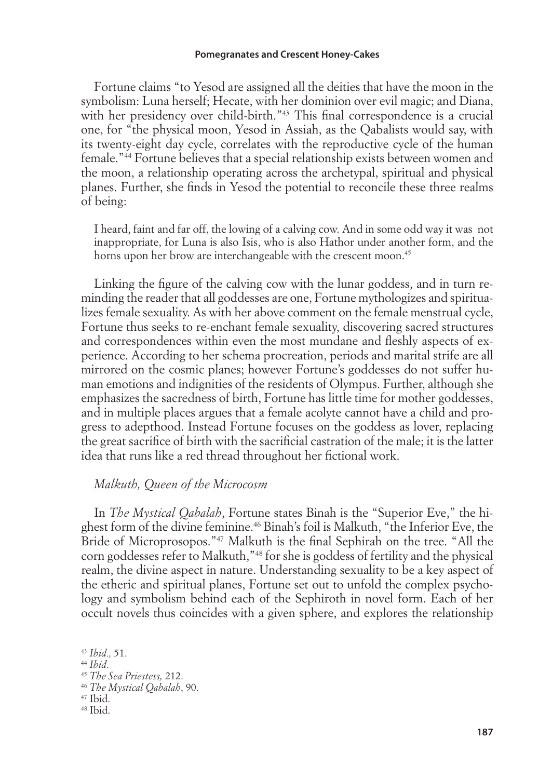#### **Pomegranates and Crescent Honey-Cakes**

Fortune claims "to Yesod are assigned all the deities that have the moon in the symbolism: Luna herself; Hecate, with her dominion over evil magic; and Diana, with her presidency over child-birth."<sup>43</sup> This final correspondence is a crucial one, for "the physical moon, Yesod in Assiah, as the Qabalists would say, with its twenty-eight day cycle, correlates with the reproductive cycle of the human female."44 Fortune believes that a special relationship exists between women and the moon, a relationship operating across the archetypal, spiritual and physical planes. Further, she finds in Yesod the potential to reconcile these three realms of being:

I heard, faint and far off, the lowing of a calving cow. And in some odd way it was not inappropriate, for Luna is also Isis, who is also Hathor under another form, and the horns upon her brow are interchangeable with the crescent moon.<sup>45</sup>

Linking the figure of the calving cow with the lunar goddess, and in turn reminding the reader that all goddesses are one, Fortune mythologizes and spiritualizes female sexuality. As with her above comment on the female menstrual cycle, Fortune thus seeks to re-enchant female sexuality, discovering sacred structures and correspondences within even the most mundane and fleshly aspects of experience. According to her schema procreation, periods and marital strife are all mirrored on the cosmic planes; however Fortune's goddesses do not suffer human emotions and indignities of the residents of Olympus. Further, although she emphasizes the sacredness of birth, Fortune has little time for mother goddesses, and in multiple places argues that a female acolyte cannot have a child and progress to adepthood. Instead Fortune focuses on the goddess as lover, replacing the great sacrifice of birth with the sacrificial castration of the male; it is the latter idea that runs like a red thread throughout her fictional work.

### *Malkuth, Queen of the Microcosm*

In *The Mystical Qabalah*, Fortune states Binah is the "Superior Eve," the highest form of the divine feminine.46 Binah's foil is Malkuth, "the Inferior Eve, the Bride of Microprosopos."<sup>47</sup> Malkuth is the final Sephirah on the tree. "All the corn goddesses refer to Malkuth,"48 for she is goddess of fertility and the physical realm, the divine aspect in nature. Understanding sexuality to be a key aspect of the etheric and spiritual planes, Fortune set out to unfold the complex psychology and symbolism behind each of the Sephiroth in novel form. Each of her occult novels thus coincides with a given sphere, and explores the relationship

<sup>43</sup> *Ibid.,* 51. <sup>44</sup> *Ibid*. <sup>45</sup> *The Sea Priestess,* 212. <sup>46</sup> *The Mystical Qabalah*, 90. 47 Ibid. 48 Ibid.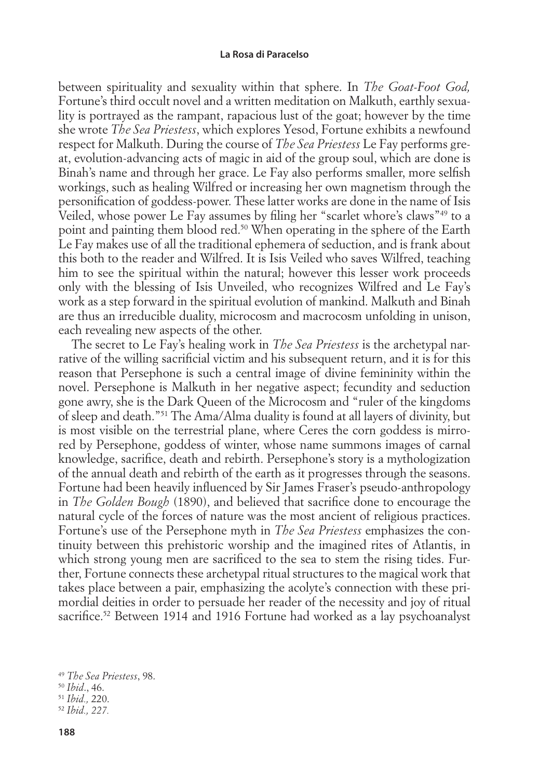between spirituality and sexuality within that sphere. In *The Goat-Foot God,*  Fortune's third occult novel and a written meditation on Malkuth, earthly sexuality is portrayed as the rampant, rapacious lust of the goat; however by the time she wrote *The Sea Priestess*, which explores Yesod, Fortune exhibits a newfound respect for Malkuth. During the course of *The Sea Priestess* Le Fay performs great, evolution-advancing acts of magic in aid of the group soul, which are done is Binah's name and through her grace. Le Fay also performs smaller, more selfish workings, such as healing Wilfred or increasing her own magnetism through the personification of goddess-power. These latter works are done in the name of Isis Veiled, whose power Le Fay assumes by filing her "scarlet whore's claws"<sup>49</sup> to a point and painting them blood red.50 When operating in the sphere of the Earth Le Fay makes use of all the traditional ephemera of seduction, and is frank about this both to the reader and Wilfred. It is Isis Veiled who saves Wilfred, teaching him to see the spiritual within the natural; however this lesser work proceeds only with the blessing of Isis Unveiled, who recognizes Wilfred and Le Fay's work as a step forward in the spiritual evolution of mankind. Malkuth and Binah are thus an irreducible duality, microcosm and macrocosm unfolding in unison, each revealing new aspects of the other.

The secret to Le Fay's healing work in *The Sea Priestess* is the archetypal narrative of the willing sacrificial victim and his subsequent return, and it is for this reason that Persephone is such a central image of divine femininity within the novel. Persephone is Malkuth in her negative aspect; fecundity and seduction gone awry, she is the Dark Queen of the Microcosm and "ruler of the kingdoms of sleep and death."51 The Ama/Alma duality is found at all layers of divinity, but is most visible on the terrestrial plane, where Ceres the corn goddess is mirrored by Persephone, goddess of winter, whose name summons images of carnal knowledge, sacrifice, death and rebirth. Persephone's story is a mythologization of the annual death and rebirth of the earth as it progresses through the seasons. Fortune had been heavily influenced by Sir James Fraser's pseudo-anthropology in *The Golden Bough* (1890), and believed that sacrifice done to encourage the natural cycle of the forces of nature was the most ancient of religious practices. Fortune's use of the Persephone myth in *The Sea Priestess* emphasizes the continuity between this prehistoric worship and the imagined rites of Atlantis, in which strong young men are sacrificed to the sea to stem the rising tides. Further, Fortune connects these archetypal ritual structures to the magical work that takes place between a pair, emphasizing the acolyte's connection with these primordial deities in order to persuade her reader of the necessity and joy of ritual sacrifice.<sup>52</sup> Between 1914 and 1916 Fortune had worked as a lay psychoanalyst

<sup>49</sup> *The Sea Priestess*, 98.

<sup>50</sup> *Ibid*., 46.

<sup>51</sup> *Ibid.,* 220.

<sup>52</sup> *Ibid., 227.*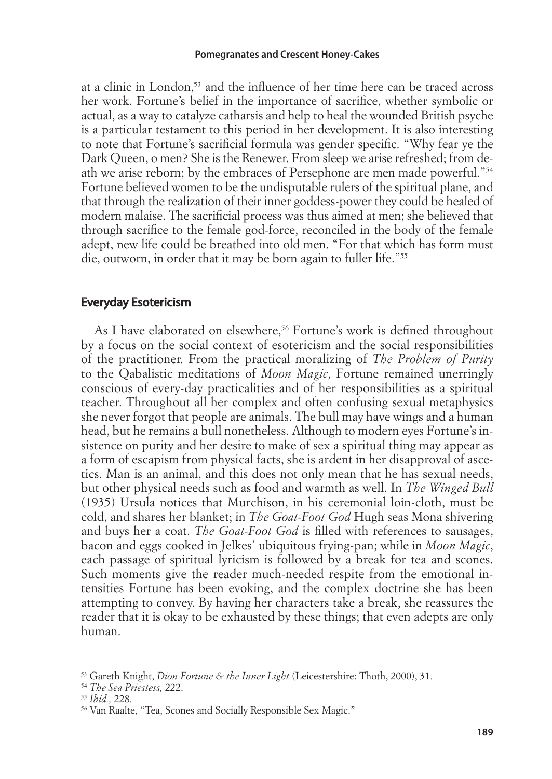at a clinic in London,<sup>53</sup> and the influence of her time here can be traced across her work. Fortune's belief in the importance of sacrifice, whether symbolic or actual, as a way to catalyze catharsis and help to heal the wounded British psyche is a particular testament to this period in her development. It is also interesting to note that Fortune's sacrificial formula was gender specific. "Why fear ye the Dark Queen, o men? She is the Renewer. From sleep we arise refreshed; from death we arise reborn; by the embraces of Persephone are men made powerful."54 Fortune believed women to be the undisputable rulers of the spiritual plane, and that through the realization of their inner goddess-power they could be healed of modern malaise. The sacrificial process was thus aimed at men; she believed that through sacrifice to the female god-force, reconciled in the body of the female adept, new life could be breathed into old men. "For that which has form must die, outworn, in order that it may be born again to fuller life."55

## Everyday Esotericism

As I have elaborated on elsewhere,<sup>56</sup> Fortune's work is defined throughout by a focus on the social context of esotericism and the social responsibilities of the practitioner. From the practical moralizing of *The Problem of Purity* to the Qabalistic meditations of *Moon Magic*, Fortune remained unerringly conscious of every-day practicalities and of her responsibilities as a spiritual teacher. Throughout all her complex and often confusing sexual metaphysics she never forgot that people are animals. The bull may have wings and a human head, but he remains a bull nonetheless. Although to modern eyes Fortune's insistence on purity and her desire to make of sex a spiritual thing may appear as a form of escapism from physical facts, she is ardent in her disapproval of ascetics. Man is an animal, and this does not only mean that he has sexual needs, but other physical needs such as food and warmth as well. In *The Winged Bull*  (1935) Ursula notices that Murchison, in his ceremonial loin-cloth, must be cold, and shares her blanket; in *The Goat-Foot God* Hugh seas Mona shivering and buys her a coat. *The Goat-Foot God* is filled with references to sausages, bacon and eggs cooked in Jelkes' ubiquitous frying-pan; while in *Moon Magic*, each passage of spiritual lyricism is followed by a break for tea and scones. Such moments give the reader much-needed respite from the emotional intensities Fortune has been evoking, and the complex doctrine she has been attempting to convey. By having her characters take a break, she reassures the reader that it is okay to be exhausted by these things; that even adepts are only human.

<sup>53</sup> Gareth Knight, *Dion Fortune & the Inner Light* (Leicestershire: Thoth, 2000), 31.

<sup>54</sup> *The Sea Priestess,* 222.

<sup>55</sup> *Ibid.,* 228.

<sup>56</sup> Van Raalte, "Tea, Scones and Socially Responsible Sex Magic."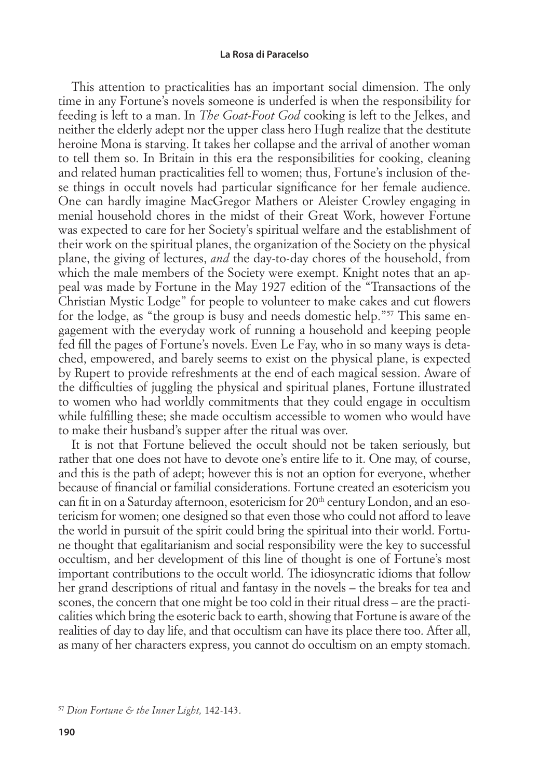This attention to practicalities has an important social dimension. The only time in any Fortune's novels someone is underfed is when the responsibility for feeding is left to a man. In *The Goat-Foot God* cooking is left to the Jelkes, and neither the elderly adept nor the upper class hero Hugh realize that the destitute heroine Mona is starving. It takes her collapse and the arrival of another woman to tell them so. In Britain in this era the responsibilities for cooking, cleaning and related human practicalities fell to women; thus, Fortune's inclusion of these things in occult novels had particular significance for her female audience. One can hardly imagine MacGregor Mathers or Aleister Crowley engaging in menial household chores in the midst of their Great Work, however Fortune was expected to care for her Society's spiritual welfare and the establishment of their work on the spiritual planes, the organization of the Society on the physical plane, the giving of lectures, *and* the day-to-day chores of the household, from which the male members of the Society were exempt. Knight notes that an appeal was made by Fortune in the May 1927 edition of the "Transactions of the Christian Mystic Lodge" for people to volunteer to make cakes and cut flowers for the lodge, as "the group is busy and needs domestic help."57 This same engagement with the everyday work of running a household and keeping people fed fill the pages of Fortune's novels. Even Le Fay, who in so many ways is detached, empowered, and barely seems to exist on the physical plane, is expected by Rupert to provide refreshments at the end of each magical session. Aware of the difficulties of juggling the physical and spiritual planes, Fortune illustrated to women who had worldly commitments that they could engage in occultism while fulfilling these; she made occultism accessible to women who would have to make their husband's supper after the ritual was over.

It is not that Fortune believed the occult should not be taken seriously, but rather that one does not have to devote one's entire life to it. One may, of course, and this is the path of adept; however this is not an option for everyone, whether because of financial or familial considerations. Fortune created an esotericism you can fit in on a Saturday afternoon, esotericism for  $20<sup>th</sup>$  century London, and an esotericism for women; one designed so that even those who could not afford to leave the world in pursuit of the spirit could bring the spiritual into their world. Fortune thought that egalitarianism and social responsibility were the key to successful occultism, and her development of this line of thought is one of Fortune's most important contributions to the occult world. The idiosyncratic idioms that follow her grand descriptions of ritual and fantasy in the novels – the breaks for tea and scones, the concern that one might be too cold in their ritual dress – are the practicalities which bring the esoteric back to earth, showing that Fortune is aware of the realities of day to day life, and that occultism can have its place there too. After all, as many of her characters express, you cannot do occultism on an empty stomach.

<sup>57</sup> *Dion Fortune & the Inner Light,* 142-143.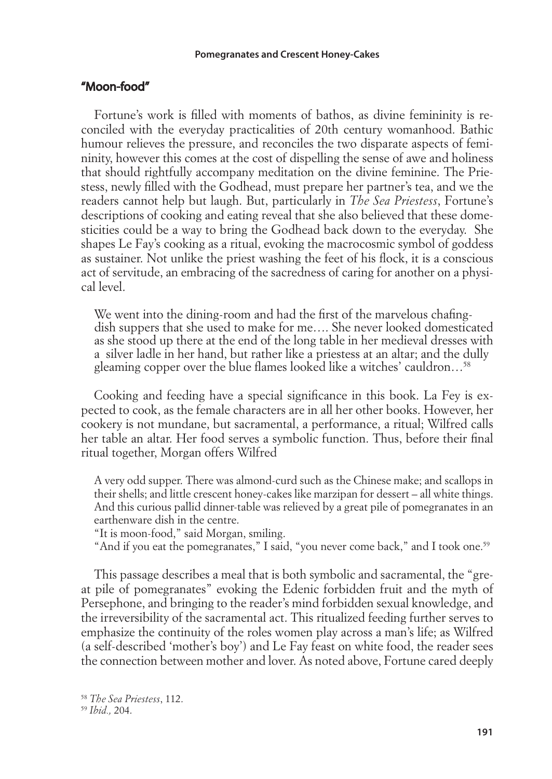## "Moon-food"

Fortune's work is filled with moments of bathos, as divine femininity is reconciled with the everyday practicalities of 20th century womanhood. Bathic humour relieves the pressure, and reconciles the two disparate aspects of femininity, however this comes at the cost of dispelling the sense of awe and holiness that should rightfully accompany meditation on the divine feminine. The Priestess, newly fi lled with the Godhead, must prepare her partner's tea, and we the readers cannot help but laugh. But, particularly in *The Sea Priestess*, Fortune's descriptions of cooking and eating reveal that she also believed that these domesticities could be a way to bring the Godhead back down to the everyday. She shapes Le Fay's cooking as a ritual, evoking the macrocosmic symbol of goddess as sustainer. Not unlike the priest washing the feet of his flock, it is a conscious act of servitude, an embracing of the sacredness of caring for another on a physical level.

We went into the dining-room and had the first of the marvelous chafingdish suppers that she used to make for me…. She never looked domesticated as she stood up there at the end of the long table in her medieval dresses with a silver ladle in her hand, but rather like a priestess at an altar; and the dully gleaming copper over the blue flames looked like a witches' cauldron...<sup>58</sup>

Cooking and feeding have a special significance in this book. La Fey is expected to cook, as the female characters are in all her other books. However, her cookery is not mundane, but sacramental, a performance, a ritual; Wilfred calls her table an altar. Her food serves a symbolic function. Thus, before their final ritual together, Morgan offers Wilfred

A very odd supper. There was almond-curd such as the Chinese make; and scallops in their shells; and little crescent honey-cakes like marzipan for dessert – all white things. And this curious pallid dinner-table was relieved by a great pile of pomegranates in an earthenware dish in the centre.

"It is moon-food," said Morgan, smiling.

"And if you eat the pomegranates," I said, "you never come back," and I took one.<sup>59</sup>

This passage describes a meal that is both symbolic and sacramental, the "great pile of pomegranates" evoking the Edenic forbidden fruit and the myth of Persephone, and bringing to the reader's mind forbidden sexual knowledge, and the irreversibility of the sacramental act. This ritualized feeding further serves to emphasize the continuity of the roles women play across a man's life; as Wilfred (a self-described 'mother's boy') and Le Fay feast on white food, the reader sees the connection between mother and lover. As noted above, Fortune cared deeply

<sup>58</sup> *The Sea Priestess*, 112. <sup>59</sup> *Ibid.,* 204.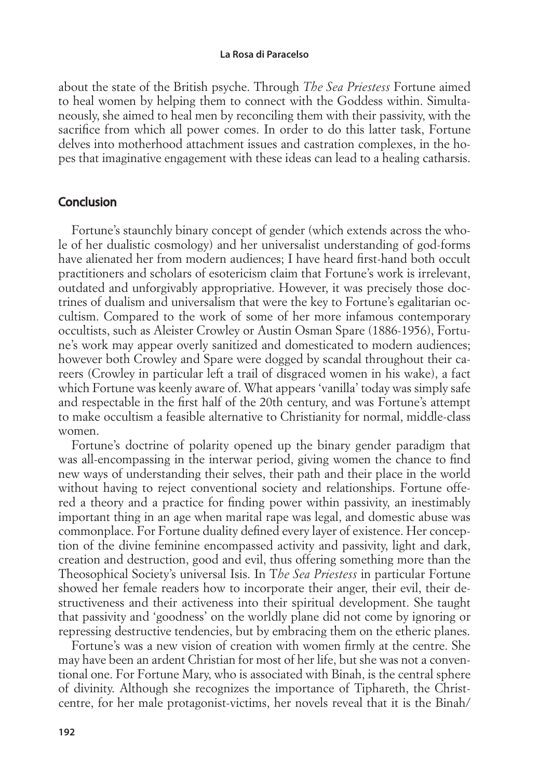about the state of the British psyche. Through *The Sea Priestess* Fortune aimed to heal women by helping them to connect with the Goddess within. Simultaneously, she aimed to heal men by reconciling them with their passivity, with the sacrifice from which all power comes. In order to do this latter task, Fortune delves into motherhood attachment issues and castration complexes, in the hopes that imaginative engagement with these ideas can lead to a healing catharsis.

## Conclusion

Fortune's staunchly binary concept of gender (which extends across the whole of her dualistic cosmology) and her universalist understanding of god-forms have alienated her from modern audiences; I have heard first-hand both occult practitioners and scholars of esotericism claim that Fortune's work is irrelevant, outdated and unforgivably appropriative. However, it was precisely those doctrines of dualism and universalism that were the key to Fortune's egalitarian occultism. Compared to the work of some of her more infamous contemporary occultists, such as Aleister Crowley or Austin Osman Spare (1886-1956), Fortune's work may appear overly sanitized and domesticated to modern audiences; however both Crowley and Spare were dogged by scandal throughout their careers (Crowley in particular left a trail of disgraced women in his wake), a fact which Fortune was keenly aware of. What appears 'vanilla' today was simply safe and respectable in the first half of the 20th century, and was Fortune's attempt to make occultism a feasible alternative to Christianity for normal, middle-class women.

Fortune's doctrine of polarity opened up the binary gender paradigm that was all-encompassing in the interwar period, giving women the chance to find new ways of understanding their selves, their path and their place in the world without having to reject conventional society and relationships. Fortune offered a theory and a practice for finding power within passivity, an inestimably important thing in an age when marital rape was legal, and domestic abuse was commonplace. For Fortune duality defined every layer of existence. Her conception of the divine feminine encompassed activity and passivity, light and dark, creation and destruction, good and evil, thus offering something more than the Theosophical Society's universal Isis. In T*he Sea Priestess* in particular Fortune showed her female readers how to incorporate their anger, their evil, their destructiveness and their activeness into their spiritual development. She taught that passivity and 'goodness' on the worldly plane did not come by ignoring or repressing destructive tendencies, but by embracing them on the etheric planes.

Fortune's was a new vision of creation with women firmly at the centre. She may have been an ardent Christian for most of her life, but she was not a conventional one. For Fortune Mary, who is associated with Binah, is the central sphere of divinity. Although she recognizes the importance of Tiphareth, the Christcentre, for her male protagonist-victims, her novels reveal that it is the Binah/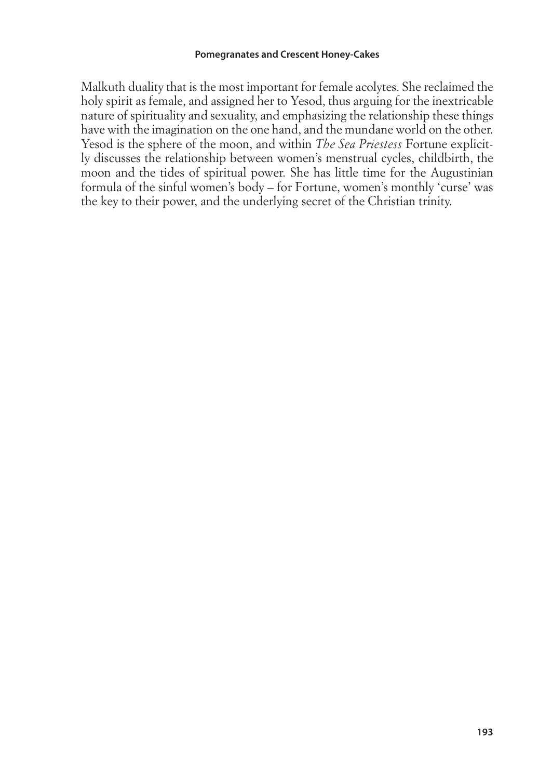Malkuth duality that is the most important for female acolytes. She reclaimed the holy spirit as female, and assigned her to Yesod, thus arguing for the inextricable nature of spirituality and sexuality, and emphasizing the relationship these things have with the imagination on the one hand, and the mundane world on the other. Yesod is the sphere of the moon, and within *The Sea Priestess* Fortune explicitly discusses the relationship between women's menstrual cycles, childbirth, the moon and the tides of spiritual power. She has little time for the Augustinian formula of the sinful women's body – for Fortune, women's monthly 'curse' was the key to their power, and the underlying secret of the Christian trinity.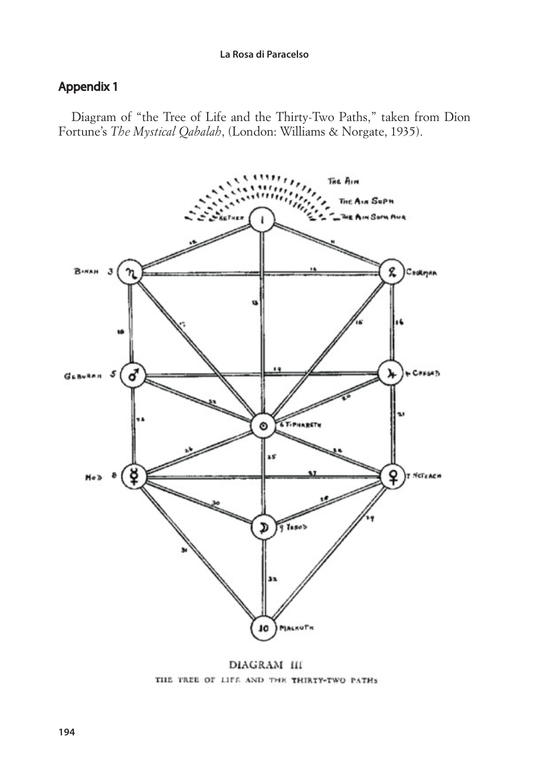# Appendix 1

Diagram of "the Tree of Life and the Thirty-Two Paths," taken from Dion Fortune's *The Mystical Qabalah*, (London: Williams & Norgate, 1935).



DIAGRAM III THE TREE OF LIFE AND THE THIRTY-TWO PATHS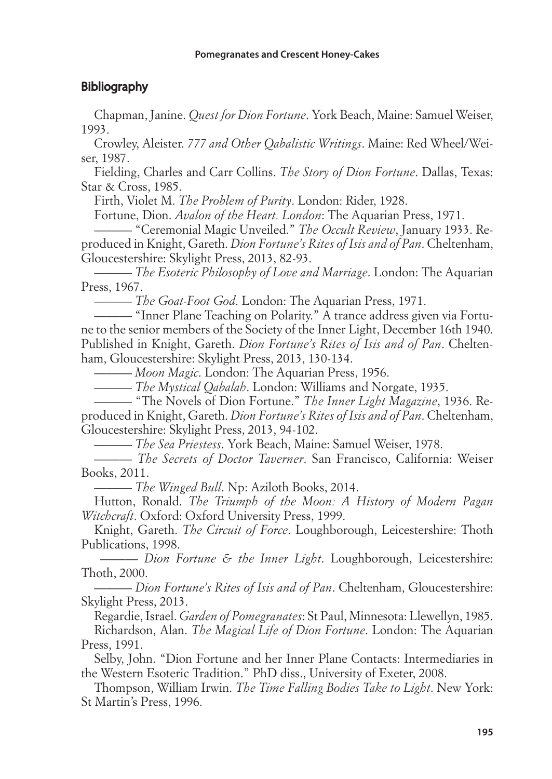# **Bibliography**

Chapman, Janine. *Quest for Dion Fortune*. York Beach, Maine: Samuel Weiser, 1993.

Crowley, Aleister. *777 and Other Qabalistic Writings*. Maine: Red Wheel/Weiser, 1987.

Fielding, Charles and Carr Collins. *The Story of Dion Fortune*. Dallas, Texas: Star & Cross, 1985.

Firth, Violet M. *The Problem of Purity*. London: Rider, 1928.

Fortune, Dion. *Avalon of the Heart. London*: The Aquarian Press, 1971.

——— "Ceremonial Magic Unveiled." *The Occult Review*, January 1933. Reproduced in Knight, Gareth. *Dion Fortune's Rites of Isis and of Pan*. Cheltenham, Gloucestershire: Skylight Press, 2013, 82-93.

——— *The Esoteric Philosophy of Love and Marriage*. London: The Aquarian Press, 1967.

——— *The Goat-Foot God*. London: The Aquarian Press, 1971.

——— "Inner Plane Teaching on Polarity." A trance address given via Fortune to the senior members of the Society of the Inner Light, December 16th 1940. Published in Knight, Gareth. *Dion Fortune's Rites of Isis and of Pan*. Cheltenham, Gloucestershire: Skylight Press, 2013, 130-134.

——— *Moon Magic*. London: The Aquarian Press, 1956.

——— *The Mystical Qabalah*. London: Williams and Norgate, 1935.

——— "The Novels of Dion Fortune." *The Inner Light Magazine*, 1936. Reproduced in Knight, Gareth. *Dion Fortune's Rites of Isis and of Pan*. Cheltenham, Gloucestershire: Skylight Press, 2013, 94-102.

——— *The Sea Priestess*. York Beach, Maine: Samuel Weiser, 1978.

——— *The Secrets of Doctor Taverner*. San Francisco, California: Weiser Books, 2011.

——— *The Winged Bull*. Np: Aziloth Books, 2014.

Hutton, Ronald. *The Triumph of the Moon: A History of Modern Pagan Witchcraft*. Oxford: Oxford University Press, 1999.

Knight, Gareth. *The Circuit of Force*. Loughborough, Leicestershire: Thoth Publications, 1998.

 ——— *Dion Fortune & the Inner Light*. Loughborough, Leicestershire: Thoth, 2000.

——— *Dion Fortune's Rites of Isis and of Pan*. Cheltenham, Gloucestershire: Skylight Press, 2013.

Regardie, Israel. *Garden of Pomegranates*: St Paul, Minnesota: Llewellyn, 1985. Richardson, Alan. *The Magical Life of Dion Fortune*. London: The Aquarian Press, 1991.

Selby, John. "Dion Fortune and her Inner Plane Contacts: Intermediaries in the Western Esoteric Tradition." PhD diss., University of Exeter, 2008.

Thompson, William Irwin. *The Time Falling Bodies Take to Light*. New York: St Martin's Press, 1996.